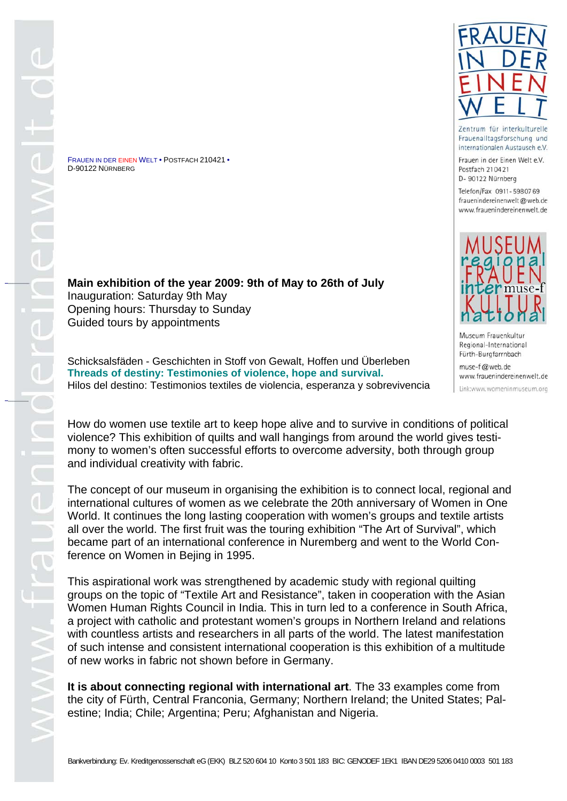FRAUEN IN DER EINEN WELT • POSTFACH 210421 • D-90122 NÜRNBERG

**Main exhibition of the year 2009: 9th of May to 26th of July**  Inauguration: Saturday 9th May Opening hours: Thursday to Sunday Guided tours by appointments

Schicksalsfäden - Geschichten in Stoff von Gewalt, Hoffen und Überleben **Threads of destiny: Testimonies of violence, hope and survival.**  Hilos del destino: Testimonios textiles de violencia, esperanza y sobrevivencia

How do women use textile art to keep hope alive and to survive in conditions of political violence? This exhibition of quilts and wall hangings from around the world gives testimony to women's often successful efforts to overcome adversity, both through group and individual creativity with fabric.

The concept of our museum in organising the exhibition is to connect local, regional and international cultures of women as we celebrate the 20th anniversary of Women in One World. It continues the long lasting cooperation with women's groups and textile artists all over the world. The first fruit was the touring exhibition "The Art of Survival", which became part of an international conference in Nuremberg and went to the World Conference on Women in Bejing in 1995.

This aspirational work was strengthened by academic study with regional quilting groups on the topic of "Textile Art and Resistance", taken in cooperation with the Asian Women Human Rights Council in India. This in turn led to a conference in South Africa, a project with catholic and protestant women's groups in Northern Ireland and relations with countless artists and researchers in all parts of the world. The latest manifestation of such intense and consistent international cooperation is this exhibition of a multitude of new works in fabric not shown before in Germany.

**It is about connecting regional with international art**. The 33 examples come from the city of Fürth, Central Franconia, Germany; Northern Ireland; the United States; Palestine; India; Chile; Argentina; Peru; Afghanistan and Nigeria.



Zentrum für interkulturelle Frauenalltagsforschung und internationalen Austausch e.V.

Frauen in der Einen Welt e.V. Postfach 210421 D- 90122 Nürnberg

Telefon/Fax 0911-5980769 frauenindereinenwelt@web.de www.frauenindereinenwelt.de



Museum Frauenkultur Regional-International Fürth-Burgfarrnbach

muse-f@web.de www.frauenindereinenwelt.de Link:www.womeninmuseum.org